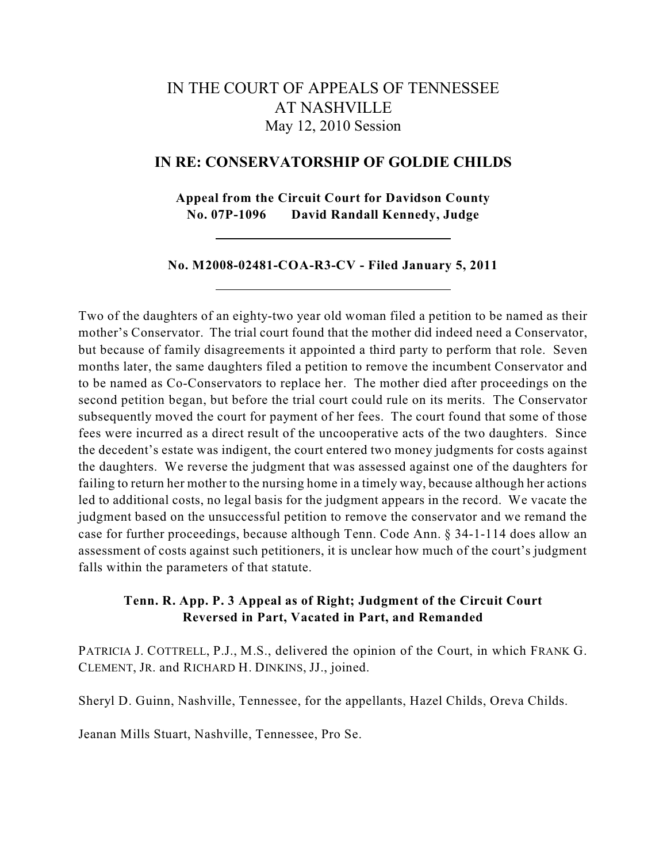# IN THE COURT OF APPEALS OF TENNESSEE AT NASHVILLE May 12, 2010 Session

## **IN RE: CONSERVATORSHIP OF GOLDIE CHILDS**

**Appeal from the Circuit Court for Davidson County No. 07P-1096 David Randall Kennedy, Judge**

#### **No. M2008-02481-COA-R3-CV - Filed January 5, 2011**

Two of the daughters of an eighty-two year old woman filed a petition to be named as their mother's Conservator. The trial court found that the mother did indeed need a Conservator, but because of family disagreements it appointed a third party to perform that role. Seven months later, the same daughters filed a petition to remove the incumbent Conservator and to be named as Co-Conservators to replace her. The mother died after proceedings on the second petition began, but before the trial court could rule on its merits. The Conservator subsequently moved the court for payment of her fees. The court found that some of those fees were incurred as a direct result of the uncooperative acts of the two daughters. Since the decedent's estate was indigent, the court entered two money judgments for costs against the daughters. We reverse the judgment that was assessed against one of the daughters for failing to return her mother to the nursing home in a timely way, because although her actions led to additional costs, no legal basis for the judgment appears in the record. We vacate the judgment based on the unsuccessful petition to remove the conservator and we remand the case for further proceedings, because although Tenn. Code Ann. § 34-1-114 does allow an assessment of costs against such petitioners, it is unclear how much of the court's judgment falls within the parameters of that statute.

# **Tenn. R. App. P. 3 Appeal as of Right; Judgment of the Circuit Court Reversed in Part, Vacated in Part, and Remanded**

PATRICIA J. COTTRELL, P.J., M.S., delivered the opinion of the Court, in which FRANK G. CLEMENT, JR. and RICHARD H. DINKINS, JJ., joined.

Sheryl D. Guinn, Nashville, Tennessee, for the appellants, Hazel Childs, Oreva Childs.

Jeanan Mills Stuart, Nashville, Tennessee, Pro Se.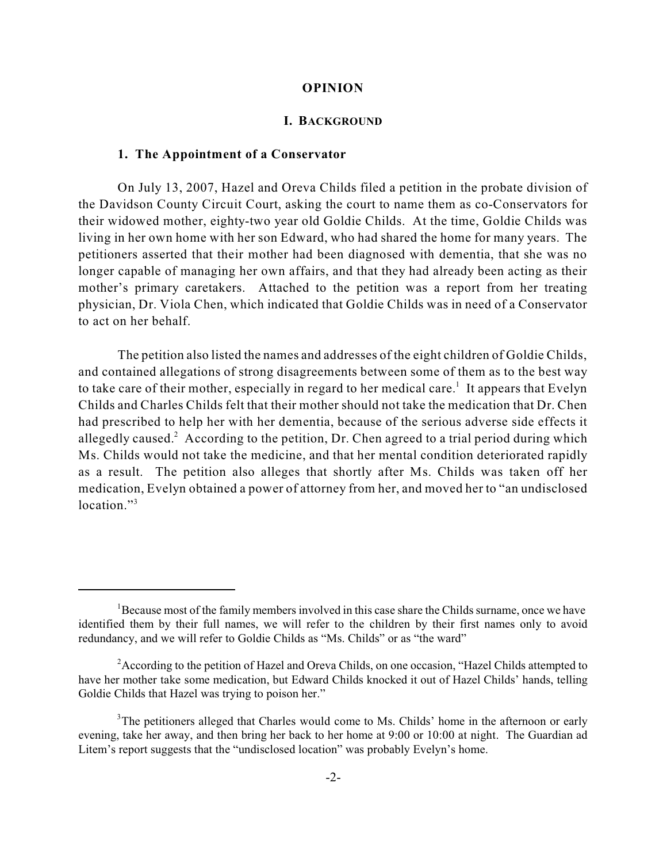#### **OPINION**

#### **I. BACKGROUND**

#### **1. The Appointment of a Conservator**

On July 13, 2007, Hazel and Oreva Childs filed a petition in the probate division of the Davidson County Circuit Court, asking the court to name them as co-Conservators for their widowed mother, eighty-two year old Goldie Childs. At the time, Goldie Childs was living in her own home with her son Edward, who had shared the home for many years. The petitioners asserted that their mother had been diagnosed with dementia, that she was no longer capable of managing her own affairs, and that they had already been acting as their mother's primary caretakers. Attached to the petition was a report from her treating physician, Dr. Viola Chen, which indicated that Goldie Childs was in need of a Conservator to act on her behalf.

The petition also listed the names and addresses of the eight children of Goldie Childs, and contained allegations of strong disagreements between some of them as to the best way to take care of their mother, especially in regard to her medical care.<sup>1</sup> It appears that Evelyn Childs and Charles Childs felt that their mother should not take the medication that Dr. Chen had prescribed to help her with her dementia, because of the serious adverse side effects it allegedly caused.<sup>2</sup> According to the petition, Dr. Chen agreed to a trial period during which Ms. Childs would not take the medicine, and that her mental condition deteriorated rapidly as a result. The petition also alleges that shortly after Ms. Childs was taken off her medication, Evelyn obtained a power of attorney from her, and moved her to "an undisclosed location."<sup>3</sup>

 ${}^{1}$ Because most of the family members involved in this case share the Childs surname, once we have identified them by their full names, we will refer to the children by their first names only to avoid redundancy, and we will refer to Goldie Childs as "Ms. Childs" or as "the ward"

<sup>&</sup>lt;sup>2</sup> According to the petition of Hazel and Oreva Childs, on one occasion, "Hazel Childs attempted to have her mother take some medication, but Edward Childs knocked it out of Hazel Childs' hands, telling Goldie Childs that Hazel was trying to poison her."

 $3$ The petitioners alleged that Charles would come to Ms. Childs' home in the afternoon or early evening, take her away, and then bring her back to her home at 9:00 or 10:00 at night. The Guardian ad Litem's report suggests that the "undisclosed location" was probably Evelyn's home.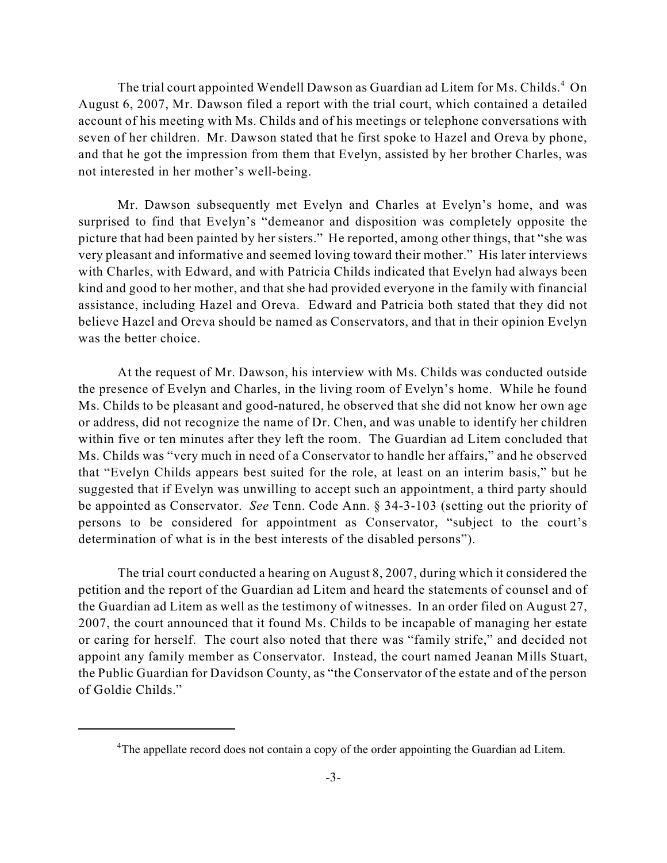The trial court appointed Wendell Dawson as Guardian ad Litem for Ms. Childs.<sup>4</sup> On August 6, 2007, Mr. Dawson filed a report with the trial court, which contained a detailed account of his meeting with Ms. Childs and of his meetings or telephone conversations with seven of her children. Mr. Dawson stated that he first spoke to Hazel and Oreva by phone, and that he got the impression from them that Evelyn, assisted by her brother Charles, was not interested in her mother's well-being.

Mr. Dawson subsequently met Evelyn and Charles at Evelyn's home, and was surprised to find that Evelyn's "demeanor and disposition was completely opposite the picture that had been painted by her sisters." He reported, among other things, that "she was very pleasant and informative and seemed loving toward their mother." His later interviews with Charles, with Edward, and with Patricia Childs indicated that Evelyn had always been kind and good to her mother, and that she had provided everyone in the family with financial assistance, including Hazel and Oreva. Edward and Patricia both stated that they did not believe Hazel and Oreva should be named as Conservators, and that in their opinion Evelyn was the better choice.

At the request of Mr. Dawson, his interview with Ms. Childs was conducted outside the presence of Evelyn and Charles, in the living room of Evelyn's home. While he found Ms. Childs to be pleasant and good-natured, he observed that she did not know her own age or address, did not recognize the name of Dr. Chen, and was unable to identify her children within five or ten minutes after they left the room. The Guardian ad Litem concluded that Ms. Childs was "very much in need of a Conservator to handle her affairs," and he observed that "Evelyn Childs appears best suited for the role, at least on an interim basis," but he suggested that if Evelyn was unwilling to accept such an appointment, a third party should be appointed as Conservator. *See* Tenn. Code Ann. § 34-3-103 (setting out the priority of persons to be considered for appointment as Conservator, "subject to the court's determination of what is in the best interests of the disabled persons").

The trial court conducted a hearing on August 8, 2007, during which it considered the petition and the report of the Guardian ad Litem and heard the statements of counsel and of the Guardian ad Litem as well as the testimony of witnesses. In an order filed on August 27, 2007, the court announced that it found Ms. Childs to be incapable of managing her estate or caring for herself. The court also noted that there was "family strife," and decided not appoint any family member as Conservator. Instead, the court named Jeanan Mills Stuart, the Public Guardian for Davidson County, as "the Conservator of the estate and of the person of Goldie Childs."

<sup>&</sup>lt;sup>4</sup>The appellate record does not contain a copy of the order appointing the Guardian ad Litem.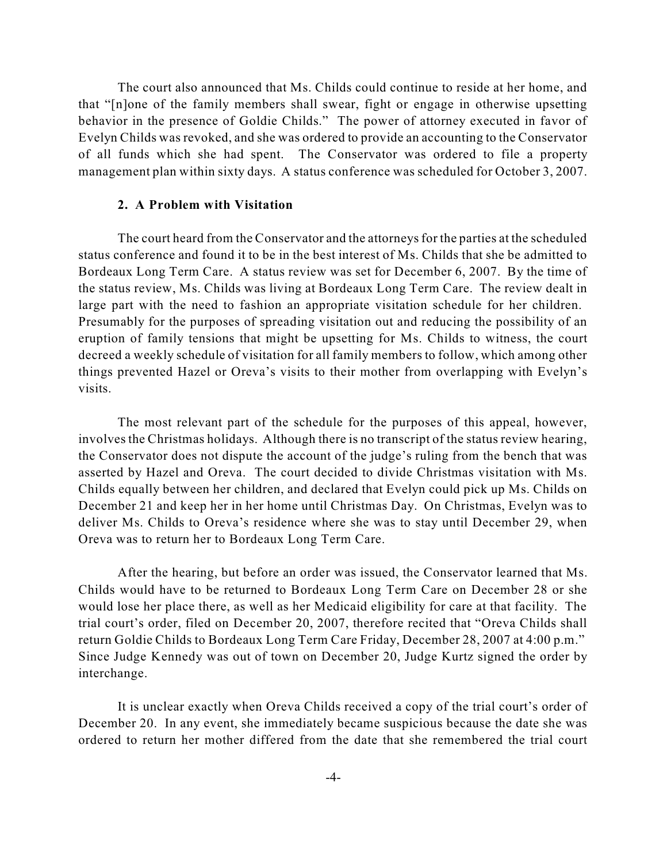The court also announced that Ms. Childs could continue to reside at her home, and that "[n]one of the family members shall swear, fight or engage in otherwise upsetting behavior in the presence of Goldie Childs." The power of attorney executed in favor of Evelyn Childs was revoked, and she was ordered to provide an accounting to the Conservator of all funds which she had spent. The Conservator was ordered to file a property management plan within sixty days. A status conference was scheduled for October 3, 2007.

#### **2. A Problem with Visitation**

The court heard from the Conservator and the attorneys for the parties at the scheduled status conference and found it to be in the best interest of Ms. Childs that she be admitted to Bordeaux Long Term Care. A status review was set for December 6, 2007. By the time of the status review, Ms. Childs was living at Bordeaux Long Term Care. The review dealt in large part with the need to fashion an appropriate visitation schedule for her children. Presumably for the purposes of spreading visitation out and reducing the possibility of an eruption of family tensions that might be upsetting for Ms. Childs to witness, the court decreed a weekly schedule of visitation for all family members to follow, which among other things prevented Hazel or Oreva's visits to their mother from overlapping with Evelyn's visits.

The most relevant part of the schedule for the purposes of this appeal, however, involves the Christmas holidays. Although there is no transcript of the status review hearing, the Conservator does not dispute the account of the judge's ruling from the bench that was asserted by Hazel and Oreva. The court decided to divide Christmas visitation with Ms. Childs equally between her children, and declared that Evelyn could pick up Ms. Childs on December 21 and keep her in her home until Christmas Day. On Christmas, Evelyn was to deliver Ms. Childs to Oreva's residence where she was to stay until December 29, when Oreva was to return her to Bordeaux Long Term Care.

After the hearing, but before an order was issued, the Conservator learned that Ms. Childs would have to be returned to Bordeaux Long Term Care on December 28 or she would lose her place there, as well as her Medicaid eligibility for care at that facility. The trial court's order, filed on December 20, 2007, therefore recited that "Oreva Childs shall return Goldie Childs to Bordeaux Long Term Care Friday, December 28, 2007 at 4:00 p.m." Since Judge Kennedy was out of town on December 20, Judge Kurtz signed the order by interchange.

It is unclear exactly when Oreva Childs received a copy of the trial court's order of December 20. In any event, she immediately became suspicious because the date she was ordered to return her mother differed from the date that she remembered the trial court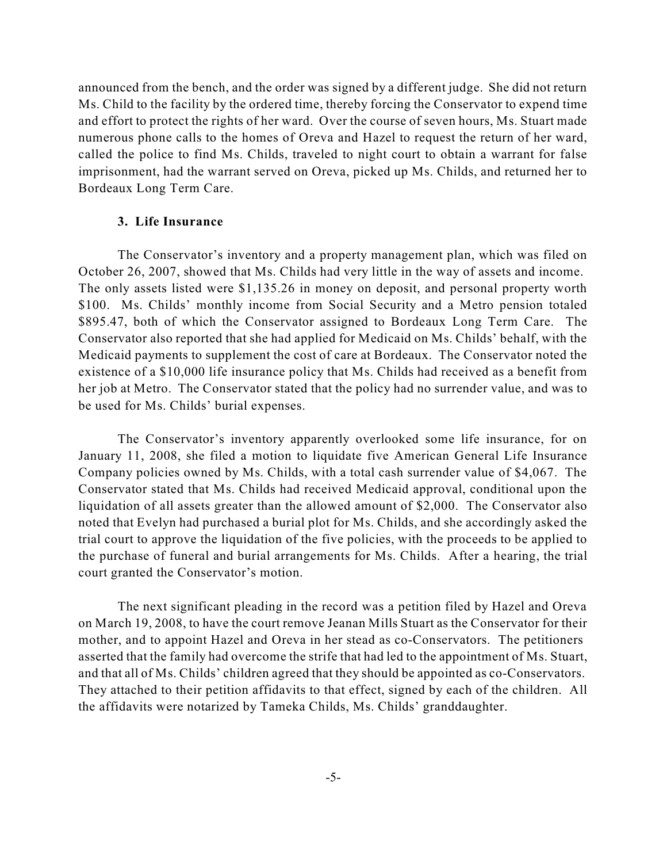announced from the bench, and the order was signed by a different judge. She did not return Ms. Child to the facility by the ordered time, thereby forcing the Conservator to expend time and effort to protect the rights of her ward. Over the course of seven hours, Ms. Stuart made numerous phone calls to the homes of Oreva and Hazel to request the return of her ward, called the police to find Ms. Childs, traveled to night court to obtain a warrant for false imprisonment, had the warrant served on Oreva, picked up Ms. Childs, and returned her to Bordeaux Long Term Care.

## **3. Life Insurance**

The Conservator's inventory and a property management plan, which was filed on October 26, 2007, showed that Ms. Childs had very little in the way of assets and income. The only assets listed were \$1,135.26 in money on deposit, and personal property worth \$100. Ms. Childs' monthly income from Social Security and a Metro pension totaled \$895.47, both of which the Conservator assigned to Bordeaux Long Term Care. The Conservator also reported that she had applied for Medicaid on Ms. Childs' behalf, with the Medicaid payments to supplement the cost of care at Bordeaux. The Conservator noted the existence of a \$10,000 life insurance policy that Ms. Childs had received as a benefit from her job at Metro. The Conservator stated that the policy had no surrender value, and was to be used for Ms. Childs' burial expenses.

The Conservator's inventory apparently overlooked some life insurance, for on January 11, 2008, she filed a motion to liquidate five American General Life Insurance Company policies owned by Ms. Childs, with a total cash surrender value of \$4,067. The Conservator stated that Ms. Childs had received Medicaid approval, conditional upon the liquidation of all assets greater than the allowed amount of \$2,000. The Conservator also noted that Evelyn had purchased a burial plot for Ms. Childs, and she accordingly asked the trial court to approve the liquidation of the five policies, with the proceeds to be applied to the purchase of funeral and burial arrangements for Ms. Childs. After a hearing, the trial court granted the Conservator's motion.

The next significant pleading in the record was a petition filed by Hazel and Oreva on March 19, 2008, to have the court remove Jeanan Mills Stuart as the Conservator for their mother, and to appoint Hazel and Oreva in her stead as co-Conservators. The petitioners asserted that the family had overcome the strife that had led to the appointment of Ms. Stuart, and that all of Ms. Childs' children agreed that they should be appointed as co-Conservators. They attached to their petition affidavits to that effect, signed by each of the children. All the affidavits were notarized by Tameka Childs, Ms. Childs' granddaughter.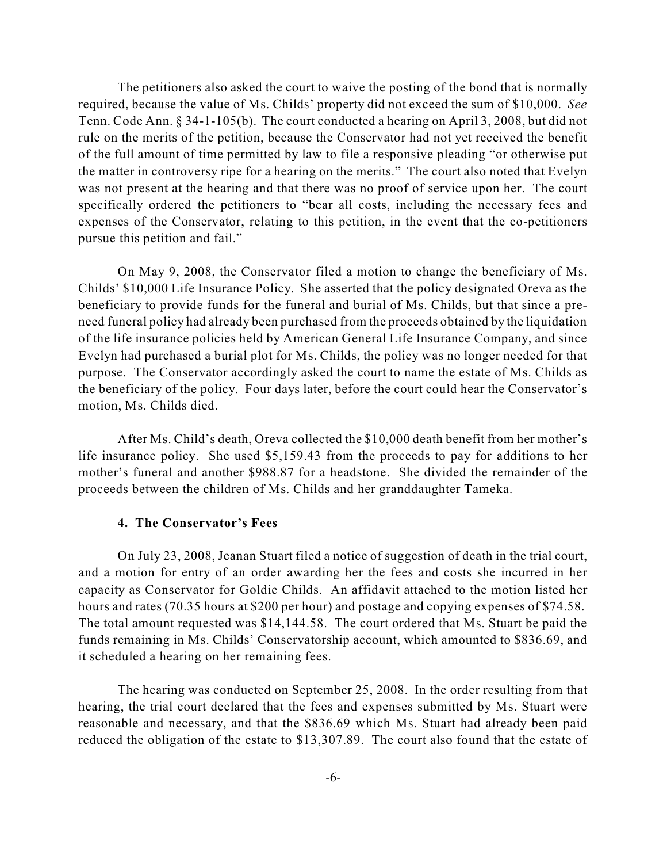The petitioners also asked the court to waive the posting of the bond that is normally required, because the value of Ms. Childs' property did not exceed the sum of \$10,000. *See* Tenn. Code Ann. § 34-1-105(b). The court conducted a hearing on April 3, 2008, but did not rule on the merits of the petition, because the Conservator had not yet received the benefit of the full amount of time permitted by law to file a responsive pleading "or otherwise put the matter in controversy ripe for a hearing on the merits." The court also noted that Evelyn was not present at the hearing and that there was no proof of service upon her. The court specifically ordered the petitioners to "bear all costs, including the necessary fees and expenses of the Conservator, relating to this petition, in the event that the co-petitioners pursue this petition and fail."

On May 9, 2008, the Conservator filed a motion to change the beneficiary of Ms. Childs' \$10,000 Life Insurance Policy. She asserted that the policy designated Oreva as the beneficiary to provide funds for the funeral and burial of Ms. Childs, but that since a preneed funeral policy had already been purchased from the proceeds obtained by the liquidation of the life insurance policies held by American General Life Insurance Company, and since Evelyn had purchased a burial plot for Ms. Childs, the policy was no longer needed for that purpose. The Conservator accordingly asked the court to name the estate of Ms. Childs as the beneficiary of the policy. Four days later, before the court could hear the Conservator's motion, Ms. Childs died.

After Ms. Child's death, Oreva collected the \$10,000 death benefit from her mother's life insurance policy. She used \$5,159.43 from the proceeds to pay for additions to her mother's funeral and another \$988.87 for a headstone. She divided the remainder of the proceeds between the children of Ms. Childs and her granddaughter Tameka.

## **4. The Conservator's Fees**

On July 23, 2008, Jeanan Stuart filed a notice of suggestion of death in the trial court, and a motion for entry of an order awarding her the fees and costs she incurred in her capacity as Conservator for Goldie Childs. An affidavit attached to the motion listed her hours and rates (70.35 hours at \$200 per hour) and postage and copying expenses of \$74.58. The total amount requested was \$14,144.58. The court ordered that Ms. Stuart be paid the funds remaining in Ms. Childs' Conservatorship account, which amounted to \$836.69, and it scheduled a hearing on her remaining fees.

The hearing was conducted on September 25, 2008. In the order resulting from that hearing, the trial court declared that the fees and expenses submitted by Ms. Stuart were reasonable and necessary, and that the \$836.69 which Ms. Stuart had already been paid reduced the obligation of the estate to \$13,307.89. The court also found that the estate of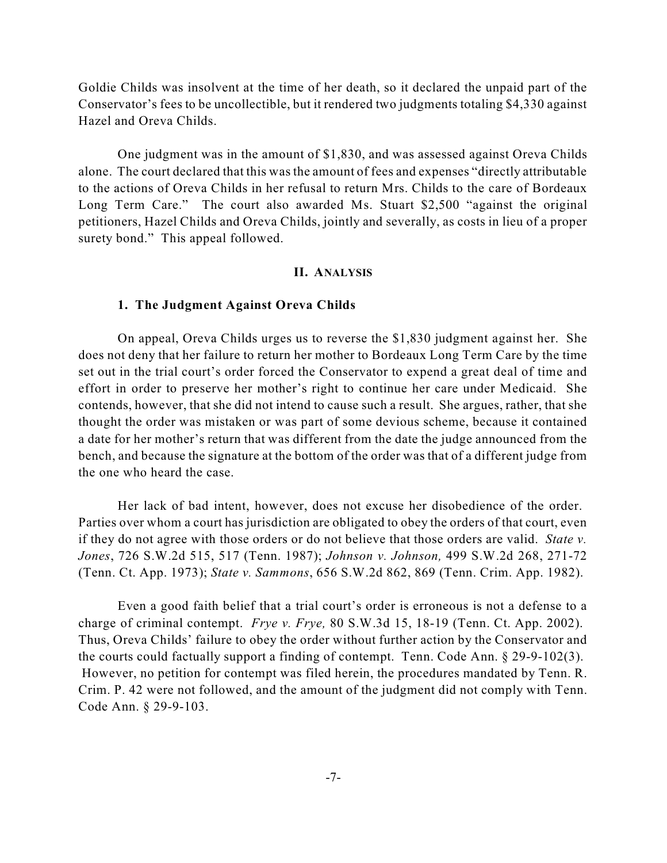Goldie Childs was insolvent at the time of her death, so it declared the unpaid part of the Conservator's fees to be uncollectible, but it rendered two judgments totaling \$4,330 against Hazel and Oreva Childs.

One judgment was in the amount of \$1,830, and was assessed against Oreva Childs alone. The court declared that this was the amount of fees and expenses "directly attributable to the actions of Oreva Childs in her refusal to return Mrs. Childs to the care of Bordeaux Long Term Care." The court also awarded Ms. Stuart \$2,500 "against the original petitioners, Hazel Childs and Oreva Childs, jointly and severally, as costs in lieu of a proper surety bond." This appeal followed.

## **II. ANALYSIS**

#### **1. The Judgment Against Oreva Childs**

On appeal, Oreva Childs urges us to reverse the \$1,830 judgment against her. She does not deny that her failure to return her mother to Bordeaux Long Term Care by the time set out in the trial court's order forced the Conservator to expend a great deal of time and effort in order to preserve her mother's right to continue her care under Medicaid. She contends, however, that she did not intend to cause such a result. She argues, rather, that she thought the order was mistaken or was part of some devious scheme, because it contained a date for her mother's return that was different from the date the judge announced from the bench, and because the signature at the bottom of the order was that of a different judge from the one who heard the case.

Her lack of bad intent, however, does not excuse her disobedience of the order. Parties over whom a court has jurisdiction are obligated to obey the orders of that court, even if they do not agree with those orders or do not believe that those orders are valid. *State v. Jones*, 726 S.W.2d 515, 517 (Tenn. 1987); *Johnson v. Johnson,* 499 S.W.2d 268, 271-72 (Tenn. Ct. App. 1973); *State v. Sammons*, 656 S.W.2d 862, 869 (Tenn. Crim. App. 1982).

Even a good faith belief that a trial court's order is erroneous is not a defense to a charge of criminal contempt. *Frye v. Frye,* 80 S.W.3d 15, 18-19 (Tenn. Ct. App. 2002). Thus, Oreva Childs' failure to obey the order without further action by the Conservator and the courts could factually support a finding of contempt. Tenn. Code Ann. § 29-9-102(3). However, no petition for contempt was filed herein, the procedures mandated by Tenn. R. Crim. P. 42 were not followed, and the amount of the judgment did not comply with Tenn. Code Ann. § 29-9-103.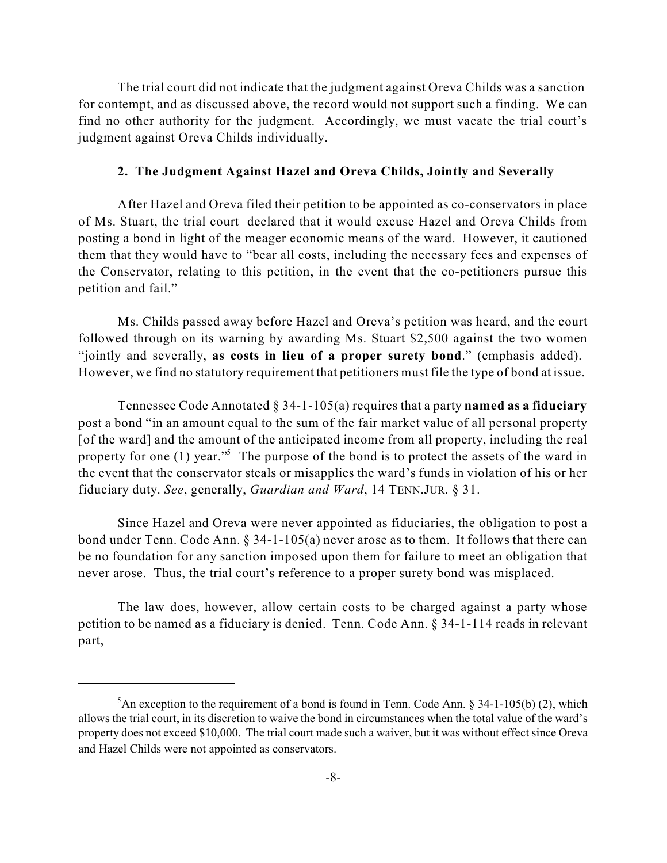The trial court did not indicate that the judgment against Oreva Childs was a sanction for contempt, and as discussed above, the record would not support such a finding. We can find no other authority for the judgment. Accordingly, we must vacate the trial court's judgment against Oreva Childs individually.

#### **2. The Judgment Against Hazel and Oreva Childs, Jointly and Severally**

After Hazel and Oreva filed their petition to be appointed as co-conservators in place of Ms. Stuart, the trial court declared that it would excuse Hazel and Oreva Childs from posting a bond in light of the meager economic means of the ward. However, it cautioned them that they would have to "bear all costs, including the necessary fees and expenses of the Conservator, relating to this petition, in the event that the co-petitioners pursue this petition and fail."

Ms. Childs passed away before Hazel and Oreva's petition was heard, and the court followed through on its warning by awarding Ms. Stuart \$2,500 against the two women "jointly and severally, **as costs in lieu of a proper surety bond**." (emphasis added). However, we find no statutory requirement that petitioners must file the type of bond at issue.

Tennessee Code Annotated § 34-1-105(a) requires that a party **named as a fiduciary** post a bond "in an amount equal to the sum of the fair market value of all personal property [of the ward] and the amount of the anticipated income from all property, including the real property for one  $(1)$  year." The purpose of the bond is to protect the assets of the ward in the event that the conservator steals or misapplies the ward's funds in violation of his or her fiduciary duty. *See*, generally, *Guardian and Ward*, 14 TENN.JUR. § 31.

Since Hazel and Oreva were never appointed as fiduciaries, the obligation to post a bond under Tenn. Code Ann. § 34-1-105(a) never arose as to them. It follows that there can be no foundation for any sanction imposed upon them for failure to meet an obligation that never arose. Thus, the trial court's reference to a proper surety bond was misplaced.

The law does, however, allow certain costs to be charged against a party whose petition to be named as a fiduciary is denied. Tenn. Code Ann. § 34-1-114 reads in relevant part,

 ${}^5$ An exception to the requirement of a bond is found in Tenn. Code Ann. § 34-1-105(b) (2), which allows the trial court, in its discretion to waive the bond in circumstances when the total value of the ward's property does not exceed \$10,000. The trial court made such a waiver, but it was without effect since Oreva and Hazel Childs were not appointed as conservators.